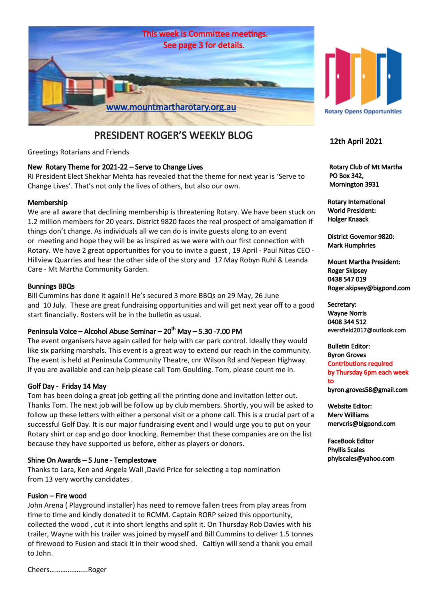

# PRESIDENT ROGER'S WEEKLY BLOG

Greetings Rotarians and Friends

#### New Rotary Theme for 2021-22 – Serve to Change Lives

RI President Elect Shekhar Mehta has revealed that the theme for next year is 'Serve to Change Lives'. That's not only the lives of others, but also our own.

#### Membership

We are all aware that declining membership is threatening Rotary. We have been stuck on 1.2 million members for 20 years. District 9820 faces the real prospect of amalgamation if things don't change. As individuals all we can do is invite guests along to an event or meeting and hope they will be as inspired as we were with our first connection with Rotary. We have 2 great opportunities for you to invite a guest , 19 April - Paul Nitas CEO - Hillview Quarries and hear the other side of the story and 17 May Robyn Ruhl & Leanda Care - Mt Martha Community Garden.

#### Bunnings BBQs

Bill Cummins has done it again!! He's secured 3 more BBQs on 29 May, 26 June and 10 July. These are great fundraising opportunities and will get next year off to a good start financially. Rosters will be in the bulletin as usual.

#### Peninsula Voice – Alcohol Abuse Seminar – 20<sup>th</sup> May – 5.30 -7.00 PM

The event organisers have again called for help with car park control. Ideally they would like six parking marshals. This event is a great way to extend our reach in the community. The event is held at Peninsula Community Theatre, cnr Wilson Rd and Nepean Highway. If you are available and can help please call Tom Goulding. Tom, please count me in.

#### Golf Day - Friday 14 May

Tom has been doing a great job getting all the printing done and invitation letter out. Thanks Tom. The next job will be follow up by club members. Shortly, you will be asked to follow up these letters with either a personal visit or a phone call. This is a crucial part of a successful Golf Day. It is our major fundraising event and I would urge you to put on your Rotary shirt or cap and go door knocking. Remember that these companies are on the list because they have supported us before, either as players or donors.

#### Shine On Awards – 5 June - Templestowe

Thanks to Lara, Ken and Angela Wall ,David Price for selecting a top nomination from 13 very worthy candidates .

#### Fusion – Fire wood

John Arena ( Playground installer) has need to remove fallen trees from play areas from time to time and kindly donated it to RCMM. Captain RORP seized this opportunity, collected the wood , cut it into short lengths and split it. On Thursday Rob Davies with his trailer, Wayne with his trailer was joined by myself and Bill Cummins to deliver 1.5 tonnes of firewood to Fusion and stack it in their wood shed. Caitlyn will send a thank you email to John.

Cheers………………...Roger



#### 12th April 2021

 Rotary Club of Mt Martha PO Box 342, Mornington 3931

Rotary International World President: Holger Knaack

District Governor 9820: Mark Humphries

Mount Martha President: Roger Skipsey 0438 547 019 Roger.skipsey@bigpond.com

Secretary: Wayne Norris 0408 344 512 eversfield2017@outlook.com

Bulletin Editor: Byron Groves Contributions required by Thursday 6pm each week to byron.groves58@gmail.com

Website Editor: Merv Williams mervcris@bigpond.com

FaceBook Editor Phyllis Scales phylscales@yahoo.com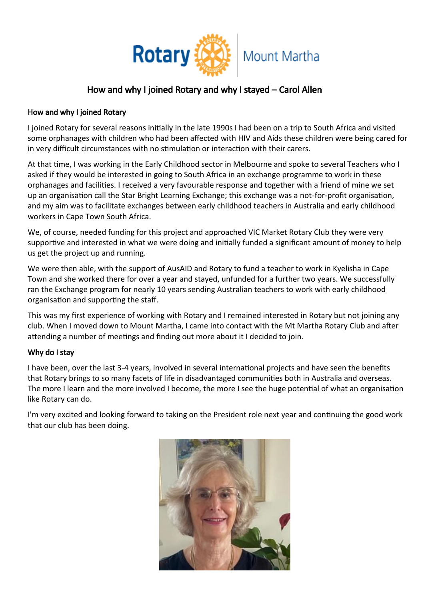

# How and why I joined Rotary and why I stayed – Carol Allen

#### How and why I joined Rotary

I joined Rotary for several reasons initially in the late 1990s I had been on a trip to South Africa and visited some orphanages with children who had been affected with HIV and Aids these children were being cared for in very difficult circumstances with no stimulation or interaction with their carers.

At that time, I was working in the Early Childhood sector in Melbourne and spoke to several Teachers who I asked if they would be interested in going to South Africa in an exchange programme to work in these orphanages and facilities. I received a very favourable response and together with a friend of mine we set up an organisation call the Star Bright Learning Exchange; this exchange was a not-for-profit organisation, and my aim was to facilitate exchanges between early childhood teachers in Australia and early childhood workers in Cape Town South Africa.

We, of course, needed funding for this project and approached VIC Market Rotary Club they were very supportive and interested in what we were doing and initially funded a significant amount of money to help us get the project up and running.

We were then able, with the support of AusAID and Rotary to fund a teacher to work in Kyelisha in Cape Town and she worked there for over a year and stayed, unfunded for a further two years. We successfully ran the Exchange program for nearly 10 years sending Australian teachers to work with early childhood organisation and supporting the staff.

This was my first experience of working with Rotary and I remained interested in Rotary but not joining any club. When I moved down to Mount Martha, I came into contact with the Mt Martha Rotary Club and after attending a number of meetings and finding out more about it I decided to join.

### Why do I stay

I have been, over the last 3-4 years, involved in several international projects and have seen the benefits that Rotary brings to so many facets of life in disadvantaged communities both in Australia and overseas. The more I learn and the more involved I become, the more I see the huge potential of what an organisation like Rotary can do.

I'm very excited and looking forward to taking on the President role next year and continuing the good work that our club has been doing.

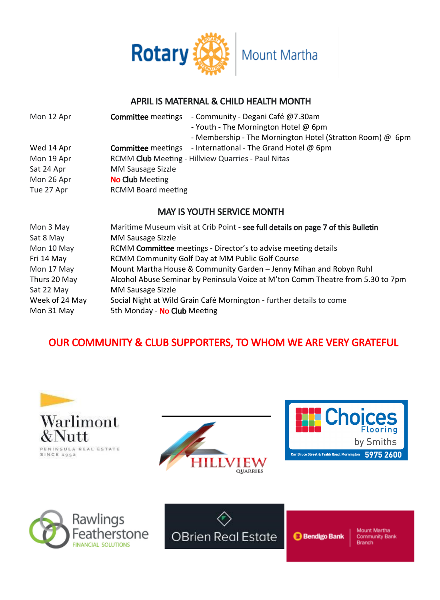

# APRIL IS MATERNAL & CHILD HEALTH MONTH

| Mon 12 Apr | - Community - Degani Café @7.30am<br><b>Committee</b> meetings<br>- Youth - The Mornington Hotel @ 6pm<br>- Membership - The Mornington Hotel (Stratton Room) @ 6pm |
|------------|---------------------------------------------------------------------------------------------------------------------------------------------------------------------|
| Wed 14 Apr | <b>Committee</b> meetings - International - The Grand Hotel $\omega$ 6pm                                                                                            |
| Mon 19 Apr | RCMM Club Meeting - Hillview Quarries - Paul Nitas                                                                                                                  |
| Sat 24 Apr | MM Sausage Sizzle                                                                                                                                                   |
| Mon 26 Apr | <b>No Club</b> Meeting                                                                                                                                              |
| Tue 27 Apr | <b>RCMM Board meeting</b>                                                                                                                                           |

## MAY IS YOUTH SERVICE MONTH

| Mon 3 May      | Maritime Museum visit at Crib Point - see full details on page 7 of this Bulletin |
|----------------|-----------------------------------------------------------------------------------|
| Sat 8 May      | MM Sausage Sizzle                                                                 |
| Mon 10 May     | RCMM Committee meetings - Director's to advise meeting details                    |
| Fri 14 May     | RCMM Community Golf Day at MM Public Golf Course                                  |
| Mon 17 May     | Mount Martha House & Community Garden - Jenny Mihan and Robyn Ruhl                |
| Thurs 20 May   | Alcohol Abuse Seminar by Peninsula Voice at M'ton Comm Theatre from 5.30 to 7pm   |
| Sat 22 May     | MM Sausage Sizzle                                                                 |
| Week of 24 May | Social Night at Wild Grain Café Mornington - further details to come              |
| Mon 31 May     | 5th Monday - No Club Meeting                                                      |

# OUR COMMUNITY & CLUB SUPPORTERS, TO WHOM WE ARE VERY GRATEFUL







**Bendigo Bank**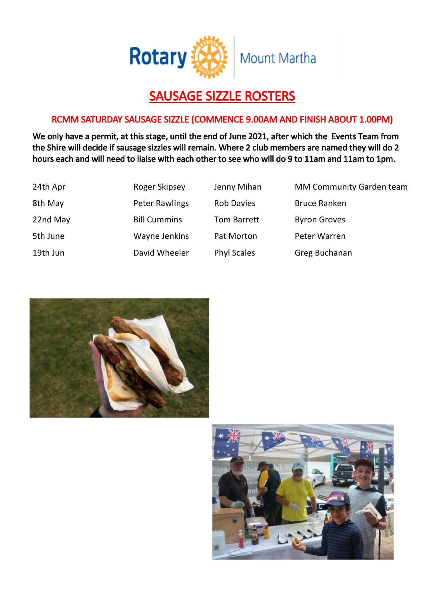

# SAUSAGE SIZZLE ROSTERS

# RCMM SATURDAY SAUSAGE SIZZLE (COMMENCE 9.00AM AND FINISH ABOUT 1.00PM)

We only have a permit, at this stage, until the end of June 2021, after which the Events Team from the Shire will decide if sausage sizzles will remain. Where 2 club members are named they will do 2 hours each and will need to liaise with each other to see who will do 9 to 11am and 11am to 1pm.

| 24th Apr | Roger Skipsey       | Jenny Mihan        | <b>MM Community Garden team</b> |
|----------|---------------------|--------------------|---------------------------------|
| 8th May  | Peter Rawlings      | <b>Rob Davies</b>  | <b>Bruce Ranken</b>             |
| 22nd May | <b>Bill Cummins</b> | Tom Barrett        | <b>Byron Groves</b>             |
| 5th June | Wayne Jenkins       | Pat Morton         | Peter Warren                    |
| 19th Jun | David Wheeler       | <b>Phyl Scales</b> | Greg Buchanan                   |



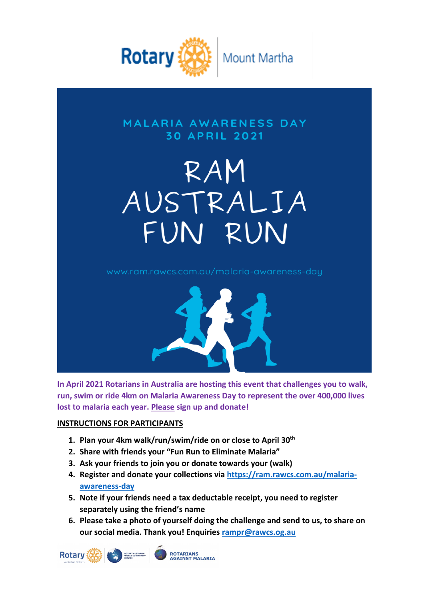

# **MALARIA AWARENESS DAY 30 APRIL 2021**

# RAM AUSTRALIA FUN RUN



**In April 2021 Rotarians in Australia are hosting this event that challenges you to walk, run, swim or ride 4km on Malaria Awareness Day to represent the over 400,000 lives lost to malaria each year. Please sign up and donate!**

## **INSTRUCTIONS FOR PARTICIPANTS**

- **1. Plan your 4km walk/run/swim/ride on or close to April 30th**
- **2. Share with friends your "Fun Run to Eliminate Malaria"**
- **3. Ask your friends to join you or donate towards your (walk)**
- **4. Register and donate your collections via https://ram.rawcs.com.au/malariaawareness-day**
- **5. Note if your friends need a tax deductable receipt, you need to register separately using the friend's name**
- **6. Please take a photo of yourself doing the challenge and send to us, to share on our social media. Thank you! Enquiries rampr@rawcs.og.au**

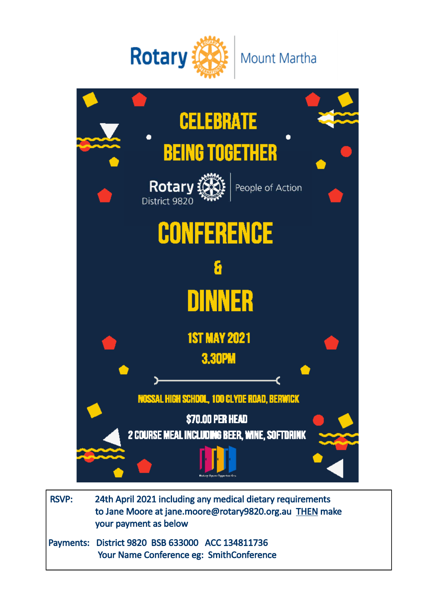



 RSVP: 24th April 2021 including any medical dietary requirements to Jane Moore at [jane.moore@rotary9820.org.au](mailto:linda.humphries@rotary9829.org.au) THEN make your payment as below Payments: District 9820 BSB 633000 ACC 134811736

Your Name Conference eg: SmithConference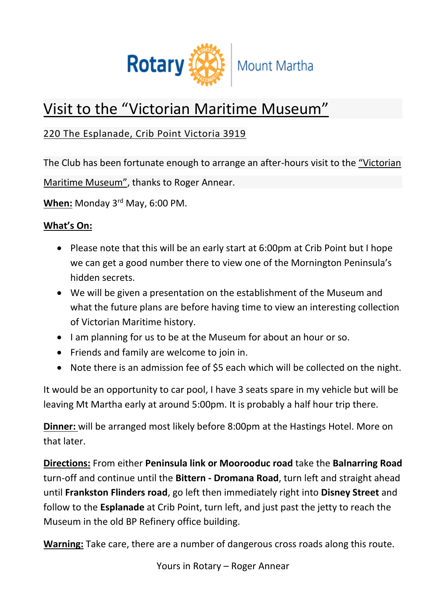

# Visit to the "Victorian Maritime Museum"

# 220 The Esplanade, Crib Point Victoria 3919

The Club has been fortunate enough to arrange an after-hours visit to the "Victorian Maritime Museum", thanks to Roger Annear.

**When:** Monday 3rd May, 6:00 PM.

# **What's On:**

- Please note that this will be an early start at 6:00pm at Crib Point but I hope we can get a good number there to view one of the Mornington Peninsula's hidden secrets.
- We will be given a presentation on the establishment of the Museum and what the future plans are before having time to view an interesting collection of Victorian Maritime history.
- I am planning for us to be at the Museum for about an hour or so.
- Friends and family are welcome to join in.
- Note there is an admission fee of \$5 each which will be collected on the night.

It would be an opportunity to car pool, I have 3 seats spare in my vehicle but will be leaving Mt Martha early at around 5:00pm. It is probably a half hour trip there.

**Dinner:** will be arranged most likely before 8:00pm at the Hastings Hotel. More on that later.

**Directions:** From either **Peninsula link or Moorooduc road** take the **Balnarring Road** turn-off and continue until the **Bittern - Dromana Road**, turn left and straight ahead until **Frankston Flinders road**, go left then immediately right into **Disney Street** and follow to the **Esplanade** at Crib Point, turn left, and just past the jetty to reach the Museum in the old BP Refinery office building.

**Warning:** Take care, there are a number of dangerous cross roads along this route.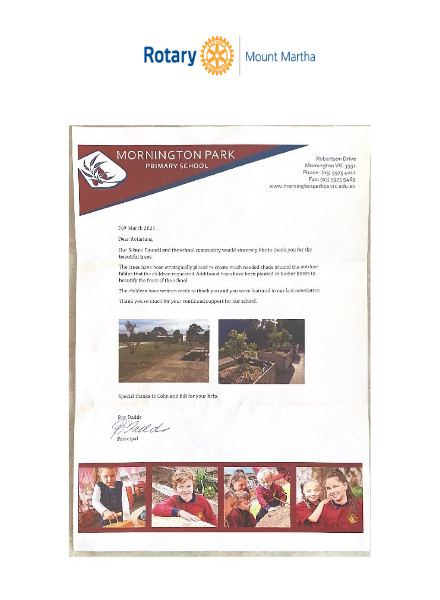



Robertson Drive Mornington VIC 3931 Phone: (03) 5975 4011<br>Fax: (03) 5975 9469 www.morningtonparkps.vic.edu.au

#### 26t March 2021

Dear Rotarians,

Our School Council and the school community would sincerely like to thank you for the beautiful trees.

The trees have been strategically placed to create much needed shade around the outdoor tables that the children requested. Additional trees have been planted in timber boxes to beautify the front of the school.

The children have written cards to thank you and you were featured in our last newsletter.

Thank you so much for your continued support for our school.





Special thanks to Colin and Bill for your help.

**Bey Dadds** Naclds Principal